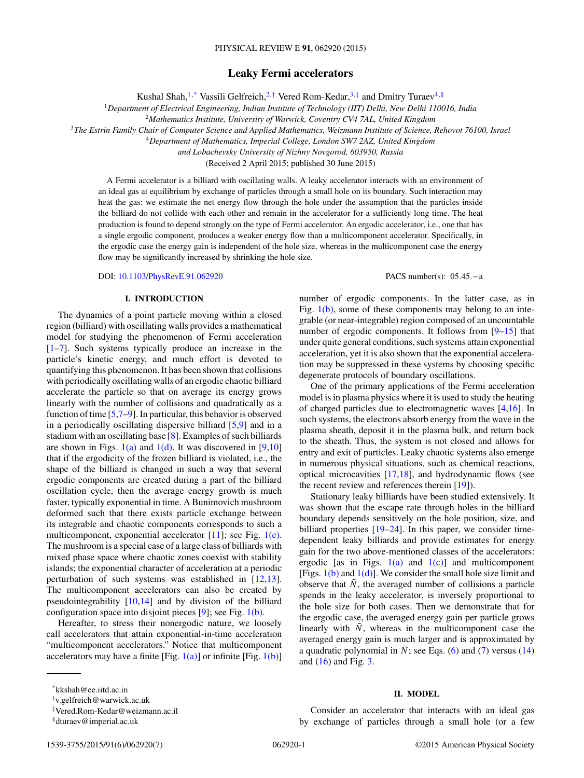# **Leaky Fermi accelerators**

Kushal Shah,<sup>1,\*</sup> Vassili Gelfreich,<sup>2,†</sup> Vered Rom-Kedar,<sup>3,‡</sup> and Dmitry Turaev<sup>4,§</sup>

<sup>1</sup>*Department of Electrical Engineering, Indian Institute of Technology (IIT) Delhi, New Delhi 110016, India*

<sup>2</sup>*Mathematics Institute, University of Warwick, Coventry CV4 7AL, United Kingdom*

<sup>3</sup>*The Estrin Family Chair of Computer Science and Applied Mathematics, Weizmann Institute of Science, Rehovot 76100, Israel*

<sup>4</sup>*Department of Mathematics, Imperial College, London SW7 2AZ, United Kingdom*

*and Lobachevsky University of Nizhny Novgorod, 603950, Russia*

(Received 2 April 2015; published 30 June 2015)

A Fermi accelerator is a billiard with oscillating walls. A leaky accelerator interacts with an environment of an ideal gas at equilibrium by exchange of particles through a small hole on its boundary. Such interaction may heat the gas: we estimate the net energy flow through the hole under the assumption that the particles inside the billiard do not collide with each other and remain in the accelerator for a sufficiently long time. The heat production is found to depend strongly on the type of Fermi accelerator. An ergodic accelerator, i.e., one that has a single ergodic component, produces a weaker energy flow than a multicomponent accelerator. Specifically, in the ergodic case the energy gain is independent of the hole size, whereas in the multicomponent case the energy flow may be significantly increased by shrinking the hole size.

DOI: [10.1103/PhysRevE.91.062920](http://dx.doi.org/10.1103/PhysRevE.91.062920) PACS number(s): 05*.*45*.*−a

#### **I. INTRODUCTION**

The dynamics of a point particle moving within a closed region (billiard) with oscillating walls provides a mathematical model for studying the phenomenon of Fermi acceleration [\[1–7\]](#page-6-0). Such systems typically produce an increase in the particle's kinetic energy, and much effort is devoted to quantifying this phenomenon. It has been shown that collisions with periodically oscillating walls of an ergodic chaotic billiard accelerate the particle so that on average its energy grows linearly with the number of collisions and quadratically as a function of time [\[5,7–9\]](#page-6-0). In particular, this behavior is observed in a periodically oscillating dispersive billiard [\[5,9\]](#page-6-0) and in a stadium with an oscillating base [\[8\]](#page-6-0). Examples of such billiards are shown in Figs.  $1(a)$  and  $1(d)$ . It was discovered in [\[9,10\]](#page-6-0) that if the ergodicity of the frozen billiard is violated, i.e., the shape of the billiard is changed in such a way that several ergodic components are created during a part of the billiard oscillation cycle, then the average energy growth is much faster, typically exponential in time. A Bunimovich mushroom deformed such that there exists particle exchange between its integrable and chaotic components corresponds to such a multicomponent, exponential accelerator [\[11\]](#page-6-0); see Fig. [1\(c\).](#page-1-0) The mushroom is a special case of a large class of billiards with mixed phase space where chaotic zones coexist with stability islands; the exponential character of acceleration at a periodic perturbation of such systems was established in [\[12,13\]](#page-6-0). The multicomponent accelerators can also be created by pseudointegrability [\[10,14\]](#page-6-0) and by division of the billiard configuration space into disjoint pieces [\[9\]](#page-6-0); see Fig. [1\(b\).](#page-1-0)

Hereafter, to stress their nonergodic nature, we loosely call accelerators that attain exponential-in-time acceleration "multicomponent accelerators." Notice that multicomponent accelerators may have a finite [Fig.  $1(a)$ ] or infinite [Fig.  $1(b)$ ]

number of ergodic components. In the latter case, as in Fig. [1\(b\),](#page-1-0) some of these components may belong to an integrable (or near-integrable) region composed of an uncountable number of ergodic components. It follows from [\[9–15\]](#page-6-0) that under quite general conditions, such systems attain exponential acceleration, yet it is also shown that the exponential acceleration may be suppressed in these systems by choosing specific degenerate protocols of boundary oscillations.

One of the primary applications of the Fermi acceleration model is in plasma physics where it is used to study the heating of charged particles due to electromagnetic waves [\[4,16\]](#page-6-0). In such systems, the electrons absorb energy from the wave in the plasma sheath, deposit it in the plasma bulk, and return back to the sheath. Thus, the system is not closed and allows for entry and exit of particles. Leaky chaotic systems also emerge in numerous physical situations, such as chemical reactions, optical microcavities [\[17,18\]](#page-6-0), and hydrodynamic flows (see the recent review and references therein [\[19\]](#page-6-0)).

Stationary leaky billiards have been studied extensively. It was shown that the escape rate through holes in the billiard boundary depends sensitively on the hole position, size, and billiard properties [\[19–24\]](#page-6-0). In this paper, we consider timedependent leaky billiards and provide estimates for energy gain for the two above-mentioned classes of the accelerators: ergodic [as in Figs.  $1(a)$  and  $1(c)$ ] and multicomponent [Figs.  $1(b)$  and  $1(d)$ ]. We consider the small hole size limit and observe that  $\overline{N}$ , the averaged number of collisions a particle spends in the leaky accelerator, is inversely proportional to the hole size for both cases. Then we demonstrate that for the ergodic case, the averaged energy gain per particle grows linearly with  $\bar{N}$ , whereas in the multicomponent case the averaged energy gain is much larger and is approximated by a quadratic polynomial in  $\overline{N}$ ; see Eqs. [\(6\)](#page-2-0) and [\(7\)](#page-2-0) versus [\(14\)](#page-3-0) and [\(16\)](#page-3-0) and Fig. [3.](#page-4-0)

Consider an accelerator that interacts with an ideal gas by exchange of particles through a small hole (or a few

<sup>\*</sup>kkshah@ee.iitd.ac.in

<sup>†</sup> v.gelfreich@warwick.ac.uk

<sup>‡</sup> Vered.Rom-Kedar@weizmann.ac.il

<sup>§</sup>dturaev@imperial.ac.uk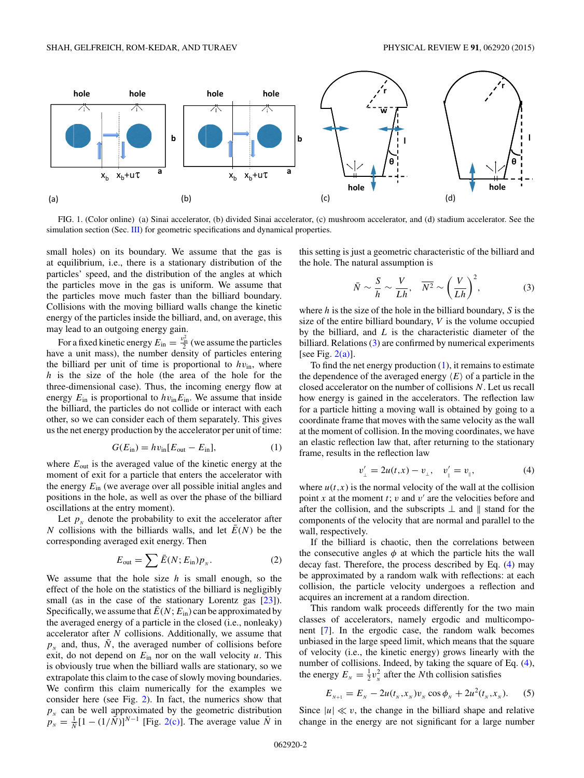<span id="page-1-0"></span>

FIG. 1. (Color online) (a) Sinai accelerator, (b) divided Sinai accelerator, (c) mushroom accelerator, and (d) stadium accelerator. See the simulation section (Sec. [III\)](#page-3-0) for geometric specifications and dynamical properties.

small holes) on its boundary. We assume that the gas is at equilibrium, i.e., there is a stationary distribution of the particles' speed, and the distribution of the angles at which the particles move in the gas is uniform. We assume that the particles move much faster than the billiard boundary. Collisions with the moving billiard walls change the kinetic energy of the particles inside the billiard, and, on average, this may lead to an outgoing energy gain.

For a fixed kinetic energy  $E_{\text{in}} = \frac{v_{\text{in}}^2}{2}$  (we assume the particles have a unit mass), the number density of particles entering the billiard per unit of time is proportional to  $hv_{in}$ , where *h* is the size of the hole (the area of the hole for the three-dimensional case). Thus, the incoming energy flow at energy  $E_{\text{in}}$  is proportional to  $hv_{\text{in}}E_{\text{in}}$ . We assume that inside the billiard, the particles do not collide or interact with each other, so we can consider each of them separately. This gives us the net energy production by the accelerator per unit of time:

$$
G(E_{\rm in}) = h v_{\rm in} [E_{\rm out} - E_{\rm in}], \tag{1}
$$

where *E*out is the averaged value of the kinetic energy at the moment of exit for a particle that enters the accelerator with the energy *E*in (we average over all possible initial angles and positions in the hole, as well as over the phase of the billiard oscillations at the entry moment).

Let  $p_N$  denote the probability to exit the accelerator after *N* collisions with the billiards walls, and let  $\bar{E}(N)$  be the corresponding averaged exit energy. Then

$$
E_{\text{out}} = \sum \bar{E}(N; E_{\text{in}}) p_{N}.
$$
 (2)

We assume that the hole size *h* is small enough, so the effect of the hole on the statistics of the billiard is negligibly small (as in the case of the stationary Lorentz gas [\[23\]](#page-6-0)). Specifically, we assume that  $E(N; E_{\text{in}})$  can be approximated by the averaged energy of a particle in the closed (i.e., nonleaky) accelerator after *N* collisions. Additionally, we assume that  $p<sub>N</sub>$  and, thus,  $\bar{N}$ , the averaged number of collisions before exit, do not depend on  $E_{\text{in}}$  nor on the wall velocity  $u$ . This is obviously true when the billiard walls are stationary, so we extrapolate this claim to the case of slowly moving boundaries. We confirm this claim numerically for the examples we consider here (see Fig. [2\)](#page-2-0). In fact, the numerics show that  $p_N$  can be well approximated by the geometric distribution  $p_N^n = \frac{1}{\overline{N}}[1 - (1/\overline{N})]^{N-1}$  [Fig. [2\(c\)\]](#page-2-0). The average value  $\overline{N}$  in

this setting is just a geometric characteristic of the billiard and the hole. The natural assumption is

$$
\bar{N} \sim \frac{S}{h} \sim \frac{V}{Lh}, \quad \overline{N^2} \sim \left(\frac{V}{Lh}\right)^2, \tag{3}
$$

where *h* is the size of the hole in the billiard boundary, *S* is the size of the entire billiard boundary, *V* is the volume occupied by the billiard, and *L* is the characteristic diameter of the billiard. Relations (3) are confirmed by numerical experiments [see Fig.  $2(a)$ ].

To find the net energy production (1), it remains to estimate the dependence of the averaged energy  $\langle E \rangle$  of a particle in the closed accelerator on the number of collisions *N*. Let us recall how energy is gained in the accelerators. The reflection law for a particle hitting a moving wall is obtained by going to a coordinate frame that moves with the same velocity as the wall at the moment of collision. In the moving coordinates, we have an elastic reflection law that, after returning to the stationary frame, results in the reflection law

$$
v'_{\perp} = 2u(t,x) - v_{\perp}, \quad v'_{\parallel} = v_{\parallel}, \tag{4}
$$

where  $u(t, x)$  is the normal velocity of the wall at the collision point *x* at the moment *t*; *v* and  $v'$  are the velocities before and after the collision, and the subscripts  $\perp$  and  $\parallel$  stand for the components of the velocity that are normal and parallel to the wall, respectively.

If the billiard is chaotic, then the correlations between the consecutive angles  $\phi$  at which the particle hits the wall decay fast. Therefore, the process described by Eq. (4) may be approximated by a random walk with reflections: at each collision, the particle velocity undergoes a reflection and acquires an increment at a random direction.

This random walk proceeds differently for the two main classes of accelerators, namely ergodic and multicomponent [\[7\]](#page-6-0). In the ergodic case, the random walk becomes unbiased in the large speed limit, which means that the square of velocity (i.e., the kinetic energy) grows linearly with the number of collisions. Indeed, by taking the square of Eq.  $(4)$ , the energy  $E_N = \frac{1}{2}v_N^2$  after the *N*th collision satisfies

$$
E_{N+1} = E_N - 2u(t_N, x_N)v_N \cos \phi_N + 2u^2(t_N, x_N). \tag{5}
$$

Since  $|u| \ll v$ , the change in the billiard shape and relative change in the energy are not significant for a large number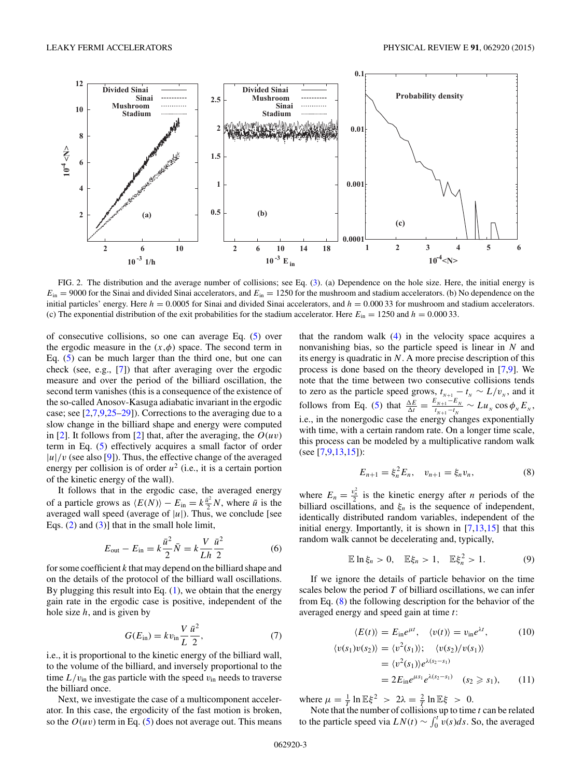<span id="page-2-0"></span>

FIG. 2. The distribution and the average number of collisions; see Eq. [\(3\)](#page-1-0). (a) Dependence on the hole size. Here, the initial energy is *E*in = 9000 for the Sinai and divided Sinai accelerators, and *E*in = 1250 for the mushroom and stadium accelerators. (b) No dependence on the initial particles' energy. Here *h* = 0*.*0005 for Sinai and divided Sinai accelerators, and *h* = 0*.*000 33 for mushroom and stadium accelerators. (c) The exponential distribution of the exit probabilities for the stadium accelerator. Here  $E_{\text{in}} = 1250$  and  $h = 0.00033$ .

of consecutive collisions, so one can average Eq. [\(5\)](#page-1-0) over the ergodic measure in the  $(x, \phi)$  space. The second term in Eq. [\(5\)](#page-1-0) can be much larger than the third one, but one can check (see, e.g., [\[7\]](#page-6-0)) that after averaging over the ergodic measure and over the period of the billiard oscillation, the second term vanishes (this is a consequence of the existence of the so-called Anosov-Kasuga adiabatic invariant in the ergodic case; see [\[2,7,9,25–29\]](#page-6-0)). Corrections to the averaging due to a slow change in the billiard shape and energy were computed in [\[2\]](#page-6-0). It follows from [2] that, after the averaging, the  $O(uv)$ term in Eq. [\(5\)](#page-1-0) effectively acquires a small factor of order  $|u|/v$  (see also [\[9\]](#page-6-0)). Thus, the effective change of the averaged energy per collision is of order  $u^2$  (i.e., it is a certain portion of the kinetic energy of the wall).

It follows that in the ergodic case, the averaged energy of a particle grows as  $\langle E(N) \rangle - E_{\text{in}} = k \frac{\bar{u}^2}{2} N$ , where  $\bar{u}$  is the averaged wall speed (average of  $|u|$ ). Thus, we conclude [see Eqs. [\(2\)](#page-1-0) and [\(3\)](#page-1-0)] that in the small hole limit,

$$
E_{\text{out}} - E_{\text{in}} = k \frac{\bar{u}^2}{2} \bar{N} = k \frac{V}{Lh} \frac{\bar{u}^2}{2}
$$
 (6)

for some coefficient *k* that may depend on the billiard shape and on the details of the protocol of the billiard wall oscillations. By plugging this result into Eq.  $(1)$ , we obtain that the energy gain rate in the ergodic case is positive, independent of the hole size *h*, and is given by

$$
G(E_{\rm in}) = kv_{\rm in} \frac{V}{L} \frac{\bar{u}^2}{2},\tag{7}
$$

i.e., it is proportional to the kinetic energy of the billiard wall, to the volume of the billiard, and inversely proportional to the time  $L/v_{\text{in}}$  the gas particle with the speed  $v_{\text{in}}$  needs to traverse the billiard once.

Next, we investigate the case of a multicomponent accelerator. In this case, the ergodicity of the fast motion is broken, so the  $O(uv)$  term in Eq. [\(5\)](#page-1-0) does not average out. This means

that the random walk  $(4)$  in the velocity space acquires a nonvanishing bias, so the particle speed is linear in *N* and its energy is quadratic in *N*. A more precise description of this process is done based on the theory developed in [\[7,9\]](#page-6-0). We note that the time between two consecutive collisions tends to zero as the particle speed grows,  $t_{N+1} - t_N \sim L/v_N$ , and it follows from Eq. [\(5\)](#page-1-0) that  $\frac{\Delta E}{\Delta t} = \frac{E_{N+1} - E_N}{t_{N+1} - t_N} \sim Lu_N \cos \phi_N E_N$ i.e., in the nonergodic case the energy changes exponentially with time, with a certain random rate. On a longer time scale, this process can be modeled by a multiplicative random walk (see [\[7,9,13,15\]](#page-6-0)):

$$
E_{n+1} = \xi_n^2 E_n, \quad v_{n+1} = \xi_n v_n,
$$
 (8)

where  $E_n = \frac{v_n^2}{2}$  is the kinetic energy after *n* periods of the billiard oscillations, and  $\xi_n$  is the sequence of independent, identically distributed random variables, independent of the initial energy. Importantly, it is shown in  $[7,13,15]$  that this random walk cannot be decelerating and, typically,

$$
\mathbb{E}\ln\xi_n>0,\quad \mathbb{E}\xi_n>1,\quad \mathbb{E}\xi_n^2>1.\tag{9}
$$

If we ignore the details of particle behavior on the time scales below the period *T* of billiard oscillations, we can infer from Eq. (8) the following description for the behavior of the averaged energy and speed gain at time *t*:

$$
\langle E(t) \rangle = E_{\text{in}} e^{\mu t}, \quad \langle v(t) \rangle = v_{\text{in}} e^{\lambda t}, \quad (10)
$$

$$
\langle v(s_1)v(s_2) \rangle = \langle v^2(s_1) \rangle; \quad \langle v(s_2)/v(s_1) \rangle
$$
  
= 
$$
\langle v^2(s_1) \rangle e^{\lambda(s_2 - s_1)}
$$
  
= 
$$
2E_{\text{in}}e^{\mu s_1} e^{\lambda(s_2 - s_1)} \quad (s_2 \ge s_1), \quad (11)
$$

where  $\mu = \frac{1}{T} \ln \mathbb{E} \xi^2 > 2\lambda = \frac{2}{T} \ln \mathbb{E} \xi > 0.$ 

Note that the number of collisions up to time *t* can be related to the particle speed via  $LN(t) \sim \int_0^t v(s)ds$ . So, the averaged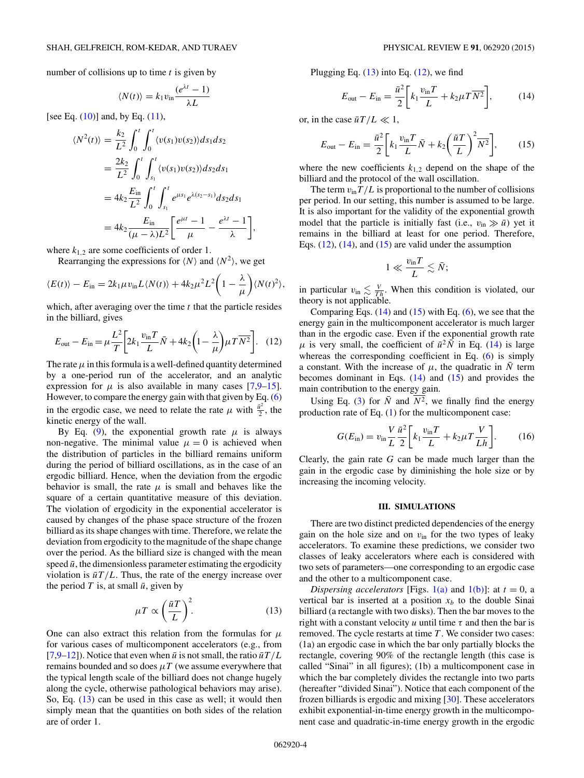<span id="page-3-0"></span>number of collisions up to time *t* is given by

$$
\langle N(t) \rangle = k_1 v_{\rm in} \frac{(e^{\lambda t} - 1)}{\lambda L}
$$

[see Eq.  $(10)$ ] and, by Eq.  $(11)$ ,

$$
\langle N^{2}(t) \rangle = \frac{k_{2}}{L^{2}} \int_{0}^{t} \int_{0}^{t} \langle v(s_{1})v(s_{2}) \rangle ds_{1} ds_{2}
$$
  
=  $\frac{2k_{2}}{L^{2}} \int_{0}^{t} \int_{s_{1}}^{t} \langle v(s_{1})v(s_{2}) \rangle ds_{2} ds_{1}$   
=  $4k_{2} \frac{E_{in}}{L^{2}} \int_{0}^{t} \int_{s_{1}}^{t} e^{\mu s_{1}} e^{\lambda(s_{2} - s_{1})} ds_{2} ds_{1}$   
=  $4k_{2} \frac{E_{in}}{(\mu - \lambda)L^{2}} \left[ \frac{e^{\mu t} - 1}{\mu} - \frac{e^{\lambda t} - 1}{\lambda} \right]$ 

1 *,*

where  $k_{1,2}$  are some coefficients of order 1.

Rearranging the expressions for  $\langle N \rangle$  and  $\langle N^2 \rangle$ , we get

$$
\langle E(t) \rangle - E_{\rm in} = 2k_1 \mu v_{\rm in} L \langle N(t) \rangle + 4k_2 \mu^2 L^2 \bigg( 1 - \frac{\lambda}{\mu} \bigg) \langle N(t)^2 \rangle,
$$

which, after averaging over the time *t* that the particle resides in the billiard, gives

$$
E_{\text{out}} - E_{\text{in}} = \mu \frac{L^2}{T} \left[ 2k_1 \frac{v_{\text{in}} T}{L} \bar{N} + 4k_2 \left( 1 - \frac{\lambda}{\mu} \right) \mu T \overline{N^2} \right]. \tag{12}
$$

The rate  $\mu$  in this formula is a well-defined quantity determined by a one-period run of the accelerator, and an analytic expression for  $\mu$  is also available in many cases [\[7,9–15\]](#page-6-0). However, to compare the energy gain with that given by Eq. [\(6\)](#page-2-0) in the ergodic case, we need to relate the rate  $\mu$  with  $\frac{\bar{u}^2}{2}$ , the kinetic energy of the wall.

By Eq. [\(9\)](#page-2-0), the exponential growth rate  $\mu$  is always non-negative. The minimal value  $\mu = 0$  is achieved when the distribution of particles in the billiard remains uniform during the period of billiard oscillations, as in the case of an ergodic billiard. Hence, when the deviation from the ergodic behavior is small, the rate  $\mu$  is small and behaves like the square of a certain quantitative measure of this deviation. The violation of ergodicity in the exponential accelerator is caused by changes of the phase space structure of the frozen billiard as its shape changes with time. Therefore, we relate the deviation from ergodicity to the magnitude of the shape change over the period. As the billiard size is changed with the mean speed  $\bar{u}$ , the dimensionless parameter estimating the ergodicity violation is  $\bar{u}T/L$ . Thus, the rate of the energy increase over the period *T* is, at small  $\bar{u}$ , given by

$$
\mu T \propto \left(\frac{\bar{u}T}{L}\right)^2. \tag{13}
$$

One can also extract this relation from the formulas for *μ* for various cases of multicomponent accelerators (e.g., from  $[7,9–12]$ ). Notice that even when  $\bar{u}$  is not small, the ratio  $\bar{u}T/L$ remains bounded and so does  $\mu$  *T* (we assume everywhere that the typical length scale of the billiard does not change hugely along the cycle, otherwise pathological behaviors may arise). So, Eq.  $(13)$  can be used in this case as well; it would then simply mean that the quantities on both sides of the relation are of order 1.

Plugging Eq. (13) into Eq. (12), we find

$$
E_{\text{out}} - E_{\text{in}} = \frac{\bar{u}^2}{2} \bigg[ k_1 \frac{v_{\text{in}} T}{L} + k_2 \mu T \overline{N^2} \bigg],\tag{14}
$$

or, in the case  $\bar{u}T/L \ll 1$ ,

$$
E_{\text{out}} - E_{\text{in}} = \frac{\bar{u}^2}{2} \bigg[ k_1 \frac{v_{\text{in}} T}{L} \bar{N} + k_2 \bigg( \frac{\bar{u} T}{L} \bigg)^2 \overline{N^2} \bigg],\tag{15}
$$

where the new coefficients  $k_{1,2}$  depend on the shape of the billiard and the protocol of the wall oscillation.

The term  $v_{\text{in}}T/L$  is proportional to the number of collisions per period. In our setting, this number is assumed to be large. It is also important for the validity of the exponential growth model that the particle is initially fast (i.e.,  $v_{\text{in}} \gg \bar{u}$ ) yet it remains in the billiard at least for one period. Therefore, Eqs.  $(12)$ ,  $(14)$ , and  $(15)$  are valid under the assumption

$$
1 \ll \frac{v_{\rm in} T}{L} \lesssim \bar{N};
$$

in particular  $v_{\text{in}} \lesssim \frac{V}{Th}$ . When this condition is violated, our theory is not applicable.

Comparing Eqs.  $(14)$  and  $(15)$  with Eq.  $(6)$ , we see that the energy gain in the multicomponent accelerator is much larger than in the ergodic case. Even if the exponential growth rate  $\mu$  is very small, the coefficient of  $\bar{u}^2 \bar{N}$  in Eq. (14) is large whereas the corresponding coefficient in Eq. [\(6\)](#page-2-0) is simply a constant. With the increase of  $\mu$ , the quadratic in  $\overline{N}$  term becomes dominant in Eqs.  $(14)$  and  $(15)$  and provides the main contribution to the energy gain.

Using Eq. [\(3\)](#page-1-0) for  $\bar{N}$  and  $\bar{N}^2$ , we finally find the energy production rate of Eq.  $(1)$  for the multicomponent case:

$$
G(E_{\rm in}) = v_{\rm in} \frac{V}{L} \frac{\bar{u}^2}{2} \bigg[ k_1 \frac{v_{\rm in} T}{L} + k_2 \mu T \frac{V}{L h} \bigg].
$$
 (16)

Clearly, the gain rate *G* can be made much larger than the gain in the ergodic case by diminishing the hole size or by increasing the incoming velocity.

#### **III. SIMULATIONS**

There are two distinct predicted dependencies of the energy gain on the hole size and on *v*in for the two types of leaky accelerators. To examine these predictions, we consider two classes of leaky accelerators where each is considered with two sets of parameters—one corresponding to an ergodic case and the other to a multicomponent case.

*Dispersing accelerators* [Figs. [1\(a\)](#page-1-0) and [1\(b\)\]](#page-1-0): at  $t = 0$ , a vertical bar is inserted at a position  $x<sub>b</sub>$  to the double Sinai billiard (a rectangle with two disks). Then the bar moves to the right with a constant velocity  $u$  until time  $\tau$  and then the bar is removed. The cycle restarts at time *T* . We consider two cases: (1a) an ergodic case in which the bar only partially blocks the rectangle, covering 90% of the rectangle length (this case is called "Sinai" in all figures); (1b) a multicomponent case in which the bar completely divides the rectangle into two parts (hereafter "divided Sinai"). Notice that each component of the frozen billiards is ergodic and mixing [\[30\]](#page-6-0). These accelerators exhibit exponential-in-time energy growth in the multicomponent case and quadratic-in-time energy growth in the ergodic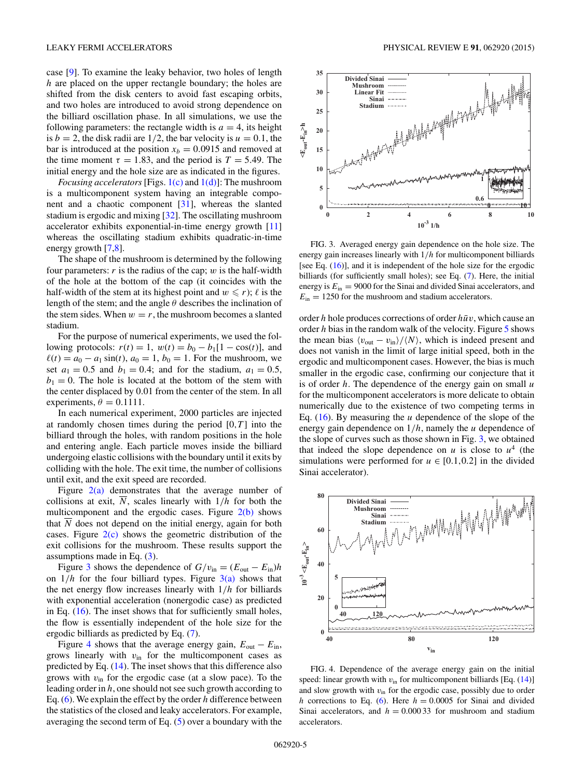<span id="page-4-0"></span>case [\[9\]](#page-6-0). To examine the leaky behavior, two holes of length *h* are placed on the upper rectangle boundary; the holes are shifted from the disk centers to avoid fast escaping orbits, and two holes are introduced to avoid strong dependence on the billiard oscillation phase. In all simulations, we use the following parameters: the rectangle width is  $a = 4$ , its height is  $b = 2$ , the disk radii are 1/2, the bar velocity is  $u = 0.1$ , the bar is introduced at the position  $x_b = 0.0915$  and removed at the time moment  $\tau = 1.83$ , and the period is  $T = 5.49$ . The initial energy and the hole size are as indicated in the figures.

*Focusing accelerators*[Figs. [1\(c\)](#page-1-0) and [1\(d\)\]](#page-1-0): The mushroom is a multicomponent system having an integrable component and a chaotic component [\[31\]](#page-6-0), whereas the slanted stadium is ergodic and mixing [\[32\]](#page-6-0). The oscillating mushroom accelerator exhibits exponential-in-time energy growth [\[11\]](#page-6-0) whereas the oscillating stadium exhibits quadratic-in-time energy growth [\[7,8\]](#page-6-0).

The shape of the mushroom is determined by the following four parameters:  $r$  is the radius of the cap;  $w$  is the half-width of the hole at the bottom of the cap (it coincides with the half-width of the stem at its highest point and  $w \leq r$ );  $\ell$  is the length of the stem; and the angle *θ* describes the inclination of the stem sides. When  $w = r$ , the mushroom becomes a slanted stadium.

For the purpose of numerical experiments, we used the following protocols:  $r(t) = 1$ ,  $w(t) = b_0 - b_1[1 - \cos(t)]$ , and  $\ell(t) = a_0 - a_1 \sin(t), a_0 = 1, b_0 = 1$ . For the mushroom, we set  $a_1 = 0.5$  and  $b_1 = 0.4$ ; and for the stadium,  $a_1 = 0.5$ ,  $b_1 = 0$ . The hole is located at the bottom of the stem with the center displaced by 0*.*01 from the center of the stem. In all experiments,  $\theta = 0.1111$ .

In each numerical experiment, 2000 particles are injected at randomly chosen times during the period  $[0, T]$  into the billiard through the holes, with random positions in the hole and entering angle. Each particle moves inside the billiard undergoing elastic collisions with the boundary until it exits by colliding with the hole. The exit time, the number of collisions until exit, and the exit speed are recorded.

Figure  $2(a)$  demonstrates that the average number of collisions at exit,  $\overline{N}$ , scales linearly with  $1/h$  for both the multicomponent and the ergodic cases. Figure  $2(b)$  shows that  $\overline{N}$  does not depend on the initial energy, again for both cases. Figure  $2(c)$  shows the geometric distribution of the exit collisions for the mushroom. These results support the assumptions made in Eq. [\(3\)](#page-1-0).

Figure 3 shows the dependence of  $G/v_{\text{in}} = (E_{\text{out}} - E_{\text{in}})h$ on  $1/h$  for the four billiard types. Figure  $3(a)$  shows that the net energy flow increases linearly with 1*/h* for billiards with exponential acceleration (nonergodic case) as predicted in Eq. [\(16\)](#page-3-0). The inset shows that for sufficiently small holes, the flow is essentially independent of the hole size for the ergodic billiards as predicted by Eq. [\(7\)](#page-2-0).

Figure 4 shows that the average energy gain,  $E_{\text{out}} - E_{\text{in}}$ , grows linearly with  $v_{\text{in}}$  for the multicomponent cases as predicted by Eq. [\(14\)](#page-3-0). The inset shows that this difference also grows with *v*in for the ergodic case (at a slow pace). To the leading order in *h*, one should not see such growth according to Eq. [\(6\)](#page-2-0). We explain the effect by the order *h* difference between the statistics of the closed and leaky accelerators. For example, averaging the second term of Eq. [\(5\)](#page-1-0) over a boundary with the



FIG. 3. Averaged energy gain dependence on the hole size. The energy gain increases linearly with 1*/h* for multicomponent billiards [see Eq. [\(16\)](#page-3-0)], and it is independent of the hole size for the ergodic billiards (for sufficiently small holes); see Eq. [\(7\)](#page-2-0). Here, the initial energy is  $E_{\text{in}} = 9000$  for the Sinai and divided Sinai accelerators, and  $E_{\text{in}} = 1250$  for the mushroom and stadium accelerators.

order *h* hole produces corrections of order  $h\bar{u}v$ , which cause an order *h* bias in the random walk of the velocity. Figure [5](#page-5-0) shows the mean bias  $\langle v_{\text{out}} - v_{\text{in}} \rangle / \langle N \rangle$ , which is indeed present and does not vanish in the limit of large initial speed, both in the ergodic and multicomponent cases. However, the bias is much smaller in the ergodic case, confirming our conjecture that it is of order *h*. The dependence of the energy gain on small *u* for the multicomponent accelerators is more delicate to obtain numerically due to the existence of two competing terms in Eq. [\(16\)](#page-3-0). By measuring the *u* dependence of the slope of the energy gain dependence on 1*/h*, namely the *u* dependence of the slope of curves such as those shown in Fig. 3, we obtained that indeed the slope dependence on  $u$  is close to  $u<sup>4</sup>$  (the simulations were performed for  $u \in [0.1, 0.2]$  in the divided Sinai accelerator).



FIG. 4. Dependence of the average energy gain on the initial speed: linear growth with  $v_{\text{in}}$  for multicomponent billiards [Eq. [\(14\)](#page-3-0)] and slow growth with  $v_{\text{in}}$  for the ergodic case, possibly due to order *h* corrections to Eq. [\(6\)](#page-2-0). Here  $h = 0.0005$  for Sinai and divided Sinai accelerators, and  $h = 0.00033$  for mushroom and stadium accelerators.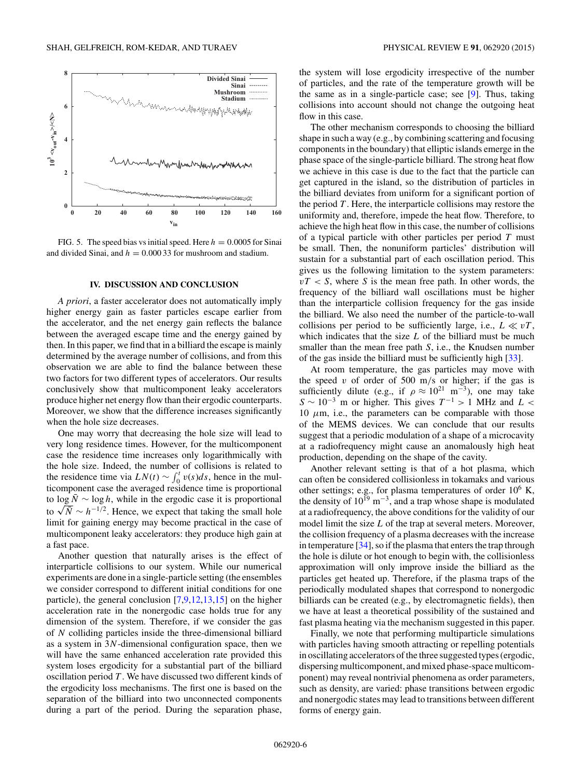<span id="page-5-0"></span>

FIG. 5. The speed bias vs initial speed. Here  $h = 0.0005$  for Sinai and divided Sinai, and  $h = 0.00033$  for mushroom and stadium.

### **IV. DISCUSSION AND CONCLUSION**

*A priori*, a faster accelerator does not automatically imply higher energy gain as faster particles escape earlier from the accelerator, and the net energy gain reflects the balance between the averaged escape time and the energy gained by then. In this paper, we find that in a billiard the escape is mainly determined by the average number of collisions, and from this observation we are able to find the balance between these two factors for two different types of accelerators. Our results conclusively show that multicomponent leaky accelerators produce higher net energy flow than their ergodic counterparts. Moreover, we show that the difference increases significantly when the hole size decreases.

One may worry that decreasing the hole size will lead to very long residence times. However, for the multicomponent case the residence time increases only logarithmically with the hole size. Indeed, the number of collisions is related to the residence time via  $LN(t) \sim \int_0^t v(s)ds$ , hence in the multicomponent case the averaged residence time is proportional to  $\log \bar{N} \sim \log h$ , while in the ergodic case it is proportional to  $\sqrt{\overline{N}} \sim h^{-1/2}$ . Hence, we expect that taking the small hole limit for gaining energy may become practical in the case of multicomponent leaky accelerators: they produce high gain at a fast pace.

Another question that naturally arises is the effect of interparticle collisions to our system. While our numerical experiments are done in a single-particle setting (the ensembles we consider correspond to different initial conditions for one particle), the general conclusion [\[7,9,12,13,15\]](#page-6-0) on the higher acceleration rate in the nonergodic case holds true for any dimension of the system. Therefore, if we consider the gas of *N* colliding particles inside the three-dimensional billiard as a system in 3*N*-dimensional configuration space, then we will have the same enhanced acceleration rate provided this system loses ergodicity for a substantial part of the billiard oscillation period *T* . We have discussed two different kinds of the ergodicity loss mechanisms. The first one is based on the separation of the billiard into two unconnected components during a part of the period. During the separation phase,

the system will lose ergodicity irrespective of the number of particles, and the rate of the temperature growth will be the same as in a single-particle case; see [\[9\]](#page-6-0). Thus, taking collisions into account should not change the outgoing heat flow in this case.

The other mechanism corresponds to choosing the billiard shape in such a way (e.g., by combining scattering and focusing components in the boundary) that elliptic islands emerge in the phase space of the single-particle billiard. The strong heat flow we achieve in this case is due to the fact that the particle can get captured in the island, so the distribution of particles in the billiard deviates from uniform for a significant portion of the period *T* . Here, the interparticle collisions may restore the uniformity and, therefore, impede the heat flow. Therefore, to achieve the high heat flow in this case, the number of collisions of a typical particle with other particles per period *T* must be small. Then, the nonuniform particles' distribution will sustain for a substantial part of each oscillation period. This gives us the following limitation to the system parameters:  $vT < S$ , where *S* is the mean free path. In other words, the frequency of the billiard wall oscillations must be higher than the interparticle collision frequency for the gas inside the billiard. We also need the number of the particle-to-wall collisions per period to be sufficiently large, i.e.,  $L \ll vT$ , which indicates that the size *L* of the billiard must be much smaller than the mean free path *S*, i.e., the Knudsen number of the gas inside the billiard must be sufficiently high [\[33\]](#page-6-0).

At room temperature, the gas particles may move with the speed *v* of order of 500 m*/*s or higher; if the gas is sufficiently dilute (e.g., if  $\rho \approx 10^{21}$  m<sup>-3</sup>), one may take  $S \sim 10^{-3}$  m or higher. This gives  $T^{-1} > 1$  MHz and  $L <$ 10  $\mu$ m, i.e., the parameters can be comparable with those of the MEMS devices. We can conclude that our results suggest that a periodic modulation of a shape of a microcavity at a radiofrequency might cause an anomalously high heat production, depending on the shape of the cavity.

Another relevant setting is that of a hot plasma, which can often be considered collisionless in tokamaks and various other settings; e.g., for plasma temperatures of order  $10^6$  K, the density of  $10^{19}$  m<sup>-3</sup>, and a trap whose shape is modulated at a radiofrequency, the above conditions for the validity of our model limit the size *L* of the trap at several meters. Moreover, the collision frequency of a plasma decreases with the increase in temperature [\[34\]](#page-6-0), so if the plasma that enters the trap through the hole is dilute or hot enough to begin with, the collisionless approximation will only improve inside the billiard as the particles get heated up. Therefore, if the plasma traps of the periodically modulated shapes that correspond to nonergodic billiards can be created (e.g., by electromagnetic fields), then we have at least a theoretical possibility of the sustained and fast plasma heating via the mechanism suggested in this paper.

Finally, we note that performing multiparticle simulations with particles having smooth attracting or repelling potentials in oscillating accelerators of the three suggested types (ergodic, dispersing multicomponent, and mixed phase-space multicomponent) may reveal nontrivial phenomena as order parameters, such as density, are varied: phase transitions between ergodic and nonergodic states may lead to transitions between different forms of energy gain.